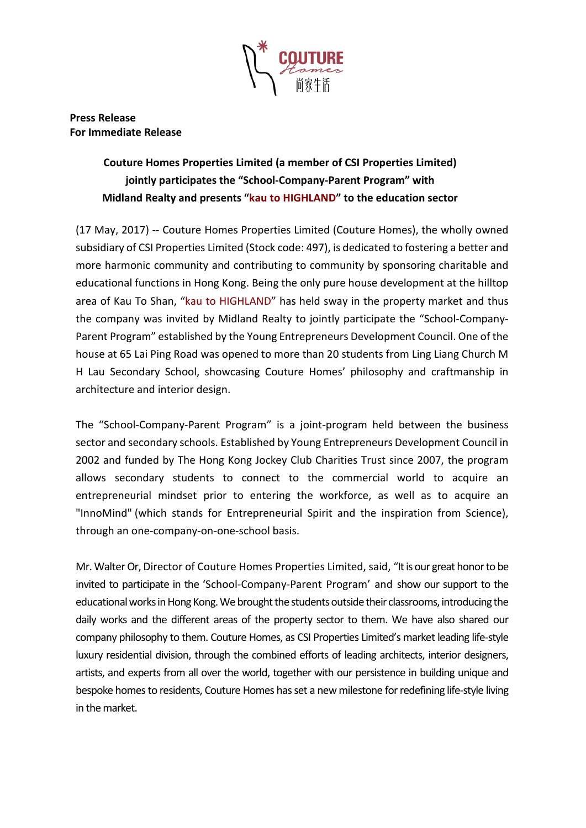

**Press Release For Immediate Release**

# **Couture Homes Properties Limited (a member of CSI Properties Limited) jointly participates the "School-Company-Parent Program" with Midland Realty and presents "kau to HIGHLAND" to the education sector**

(17 May, 2017) -- Couture Homes Properties Limited (Couture Homes), the wholly owned subsidiary of CSI Properties Limited (Stock code: 497), is dedicated to fostering a better and more harmonic community and contributing to community by sponsoring charitable and educational functions in Hong Kong. Being the only pure house development at the hilltop area of Kau To Shan, "kau to HIGHLAND" has held sway in the property market and thus the company was invited by Midland Realty to jointly participate the "School-Company-Parent Program" established by the Young Entrepreneurs Development Council. One of the house at 65 Lai Ping Road was opened to more than 20 students from Ling Liang Church M H Lau Secondary School, showcasing Couture Homes' philosophy and craftmanship in architecture and interior design.

The "School-Company-Parent Program" is a joint-program held between the business sector and secondary schools. Established by Young Entrepreneurs Development Council in 2002 and funded by The Hong Kong Jockey Club Charities Trust since 2007, the program allows secondary students to connect to the commercial world to acquire an entrepreneurial mindset prior to entering the workforce, as well as to acquire an "InnoMind" (which stands for Entrepreneurial Spirit and the inspiration from Science), through an one-company-on-one-school basis.

Mr. Walter Or, Director of Couture Homes Properties Limited, said, "It is our great honor to be invited to participate in the 'School-Company-Parent Program' and show our support to the educational works in Hong Kong. We brought the students outside their classrooms, introducing the daily works and the different areas of the property sector to them. We have also shared our company philosophy to them. Couture Homes, as CSI Properties Limited's market leading life-style luxury residential division, through the combined efforts of leading architects, interior designers, artists, and experts from all over the world, together with our persistence in building unique and bespoke homes to residents, Couture Homes has set a new milestone for redefining life-style living in the market.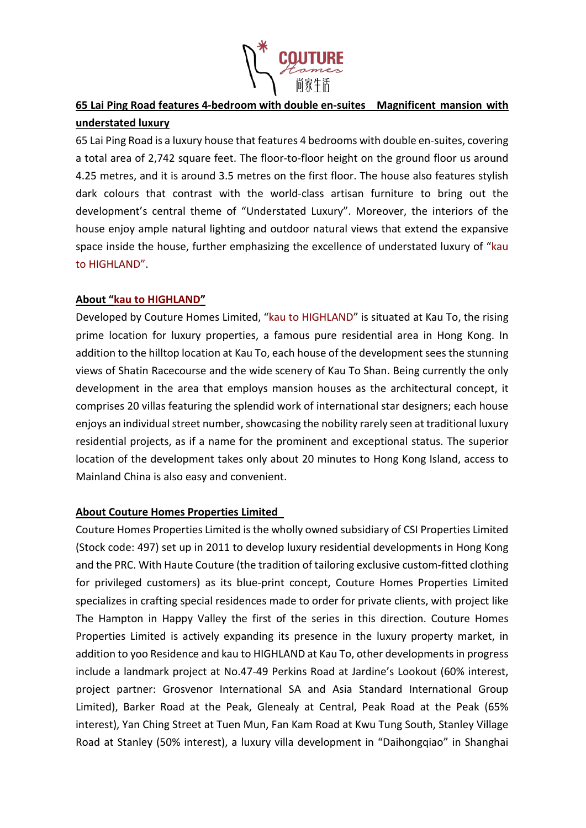

## **65 Lai Ping Road features 4-bedroom with double en-suites Magnificent mansion with understated luxury**

65 Lai Ping Road is a luxury house that features 4 bedrooms with double en-suites, covering a total area of 2,742 square feet. The floor-to-floor height on the ground floor us around 4.25 metres, and it is around 3.5 metres on the first floor. The house also features stylish dark colours that contrast with the world-class artisan furniture to bring out the development's central theme of "Understated Luxury". Moreover, the interiors of the house enjoy ample natural lighting and outdoor natural views that extend the expansive space inside the house, further emphasizing the excellence of understated luxury of "kau to HIGHLAND".

### **About "kau to HIGHLAND"**

Developed by Couture Homes Limited, "kau to HIGHLAND" is situated at Kau To, the rising prime location for luxury properties, a famous pure residential area in Hong Kong. In addition to the hilltop location at Kau To, each house of the development sees the stunning views of Shatin Racecourse and the wide scenery of Kau To Shan. Being currently the only development in the area that employs mansion houses as the architectural concept, it comprises 20 villas featuring the splendid work of international star designers; each house enjoys an individual street number, showcasing the nobility rarely seen at traditional luxury residential projects, as if a name for the prominent and exceptional status. The superior location of the development takes only about 20 minutes to Hong Kong Island, access to Mainland China is also easy and convenient.

### **About Couture Homes Properties Limited**

Couture Homes Properties Limited is the wholly owned subsidiary of CSI Properties Limited (Stock code: 497) set up in 2011 to develop luxury residential developments in Hong Kong and the PRC. With Haute Couture (the tradition of tailoring exclusive custom-fitted clothing for privileged customers) as its blue-print concept, Couture Homes Properties Limited specializes in crafting special residences made to order for private clients, with project like The Hampton in Happy Valley the first of the series in this direction. Couture Homes Properties Limited is actively expanding its presence in the luxury property market, in addition to yoo Residence and kau to HIGHLAND at Kau To, other developments in progress include a landmark project at No.47-49 Perkins Road at Jardine's Lookout (60% interest, project partner: Grosvenor International SA and Asia Standard International Group Limited), Barker Road at the Peak, Glenealy at Central, Peak Road at the Peak (65% interest), Yan Ching Street at Tuen Mun, Fan Kam Road at Kwu Tung South, Stanley Village Road at Stanley (50% interest), a luxury villa development in "Daihongqiao" in Shanghai